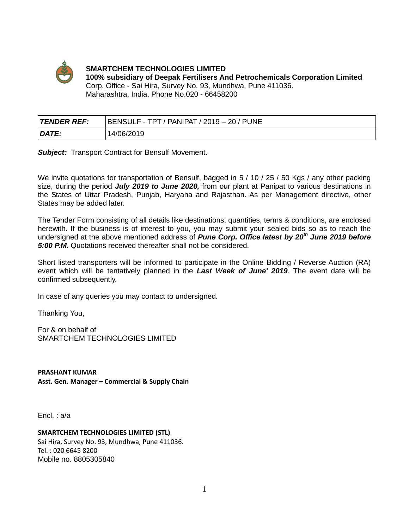

**SMARTCHEM TECHNOLOGIES LIMITED 100% subsidiary of Deepak Fertilisers And Petrochemicals Corporation Limited**  Corp. Office - Sai Hira, Survey No. 93, Mundhwa, Pune 411036. Maharashtra, India. Phone No.020 - 66458200

| <b>TENDER REF:</b> | BENSULF - TPT / PANIPAT / 2019 - 20 / PUNE |
|--------------------|--------------------------------------------|
| DATE:              | 14/06/2019                                 |

**Subject:** Transport Contract for Bensulf Movement.

We invite quotations for transportation of Bensulf, bagged in 5 / 10 / 25 / 50 Kgs / any other packing size, during the period *July 2019 to June 2020,* from our plant at Panipat to various destinations in the States of Uttar Pradesh, Punjab, Haryana and Rajasthan. As per Management directive, other States may be added later.

The Tender Form consisting of all details like destinations, quantities, terms & conditions, are enclosed herewith. If the business is of interest to you, you may submit your sealed bids so as to reach the undersigned at the above mentioned address of *Pune Corp. Office latest by 20th June 2019 before 5:00 P.M.* Quotations received thereafter shall not be considered.

Short listed transporters will be informed to participate in the Online Bidding / Reverse Auction (RA) event which will be tentatively planned in the *Last Week of June' 2019*. The event date will be confirmed subsequently.

In case of any queries you may contact to undersigned.

Thanking You,

For & on behalf of SMARTCHEM TECHNOLOGIES LIMITED

**PRASHANT KUMAR Asst. Gen. Manager – Commercial & Supply Chain**

Encl. : a/a

#### **SMARTCHEM TECHNOLOGIES LIMITED (STL)**

Sai Hira, Survey No. 93, Mundhwa, Pune 411036. Tel. : 020 6645 8200 Mobile no. 8805305840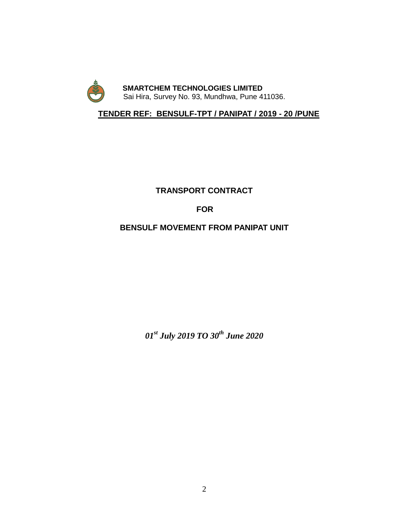

 **TENDER REF: BENSULF-TPT / PANIPAT / 2019 - 20 /PUNE**

# **TRANSPORT CONTRACT**

# **FOR**

# **BENSULF MOVEMENT FROM PANIPAT UNIT**

*01st July 2019 TO 30 th June 2020*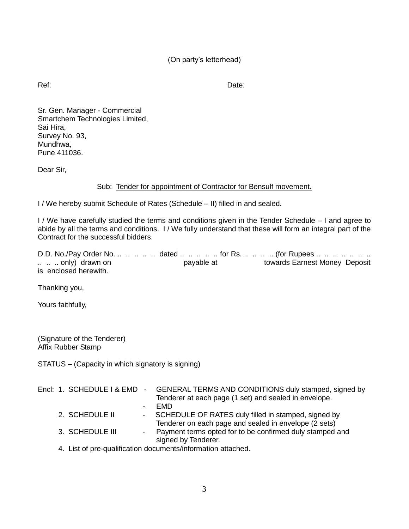Ref: **Date:** Date:

Sr. Gen. Manager - Commercial Smartchem Technologies Limited, Sai Hira, Survey No. 93, Mundhwa. Pune 411036.

Dear Sir,

# Sub: Tender for appointment of Contractor for Bensulf movement.

I / We hereby submit Schedule of Rates (Schedule – II) filled in and sealed.

I / We have carefully studied the terms and conditions given in the Tender Schedule – I and agree to abide by all the terms and conditions. I / We fully understand that these will form an integral part of the Contract for the successful bidders.

D.D. No./Pay Order No. .. .. .. .. dated .. .. .. .. for Rs. .. .. .. (for Rupees .. .. .. .. .. .. .. ...... only) drawn on the payable at towards Earnest Money Deposit is enclosed herewith.

Thanking you,

Yours faithfully,

(Signature of the Tenderer) Affix Rubber Stamp

STATUS – (Capacity in which signatory is signing)

|  |                 |        | Encl: 1. SCHEDULE I & EMD - GENERAL TERMS AND CONDITIONS duly stamped, signed by<br>Tenderer at each page (1 set) and sealed in envelope. |
|--|-----------------|--------|-------------------------------------------------------------------------------------------------------------------------------------------|
|  |                 |        | <b>FMD</b>                                                                                                                                |
|  | 2. SCHEDULE II  | $\sim$ | SCHEDULE OF RATES duly filled in stamped, signed by                                                                                       |
|  |                 |        | Tenderer on each page and sealed in envelope (2 sets)                                                                                     |
|  | 3. SCHEDULE III |        | - Payment terms opted for to be confirmed duly stamped and                                                                                |
|  |                 |        | signed by Tenderer.                                                                                                                       |
|  |                 |        | 4. List of pre-qualification documents/information attached.                                                                              |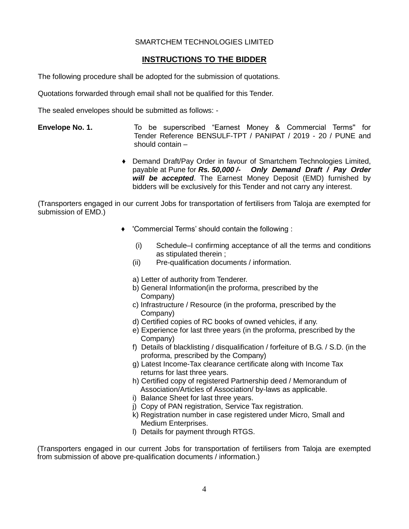### SMARTCHEM TECHNOLOGIES LIMITED

# **INSTRUCTIONS TO THE BIDDER**

The following procedure shall be adopted for the submission of quotations.

Quotations forwarded through email shall not be qualified for this Tender.

The sealed envelopes should be submitted as follows: -

- **Envelope No. 1.** To be superscribed "Earnest Money & Commercial Terms'' for Tender Reference BENSULF-TPT / PANIPAT / 2019 - 20 / PUNE and should contain –
	- ♦ Demand Draft/Pay Order in favour of Smartchem Technologies Limited, payable at Pune for *Rs. 50,000 /- Only Demand Draft / Pay Order will be accepted*. The Earnest Money Deposit (EMD) furnished by bidders will be exclusively for this Tender and not carry any interest.

(Transporters engaged in our current Jobs for transportation of fertilisers from Taloja are exempted for submission of EMD.)

- ♦ 'Commercial Terms' should contain the following :
	- (i) Schedule–I confirming acceptance of all the terms and conditions as stipulated therein ;
	- (ii) Pre-qualification documents / information.
	- a) Letter of authority from Tenderer.
	- b) General Information(in the proforma, prescribed by the Company)
	- c) Infrastructure / Resource (in the proforma, prescribed by the Company)
	- d) Certified copies of RC books of owned vehicles, if any.
	- e) Experience for last three years (in the proforma, prescribed by the Company)
	- f) Details of blacklisting / disqualification / forfeiture of B.G. / S.D. (in the proforma, prescribed by the Company)
	- g) Latest Income-Tax clearance certificate along with Income Tax returns for last three years.
	- h) Certified copy of registered Partnership deed / Memorandum of Association/Articles of Association/ by-laws as applicable.
	- i) Balance Sheet for last three years.
	- j) Copy of PAN registration, Service Tax registration.
	- k) Registration number in case registered under Micro, Small and Medium Enterprises.
	- l) Details for payment through RTGS.

(Transporters engaged in our current Jobs for transportation of fertilisers from Taloja are exempted from submission of above pre-qualification documents / information.)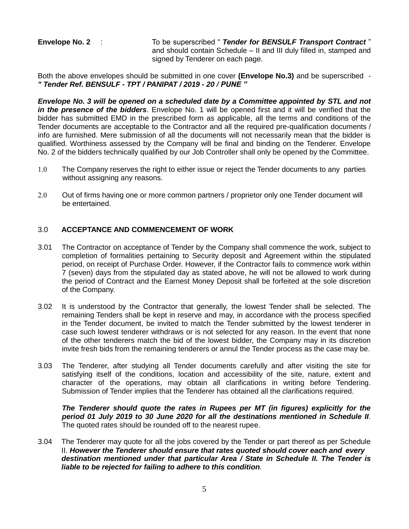**Envelope No. 2** : To be superscribed " *Tender for BENSULF Transport Contract* " and should contain Schedule – II and III duly filled in, stamped and signed by Tenderer on each page.

Both the above envelopes should be submitted in one cover **(Envelope No.3)** and be superscribed - *" Tender Ref. BENSULF - TPT / PANIPAT / 2019 - 20 / PUNE "*

*Envelope No. 3 will be opened on a scheduled date by a Committee appointed by STL and not in the presence of the bidders*. Envelope No. 1 will be opened first and it will be verified that the bidder has submitted EMD in the prescribed form as applicable, all the terms and conditions of the Tender documents are acceptable to the Contractor and all the required pre-qualification documents / info are furnished. Mere submission of all the documents will not necessarily mean that the bidder is qualified. Worthiness assessed by the Company will be final and binding on the Tenderer. Envelope No. 2 of the bidders technically qualified by our Job Controller shall only be opened by the Committee.

- The Company reserves the right to either issue or reject the Tender documents to any parties without assigning any reasons.
- 2.0 Out of firms having one or more common partners / proprietor only one Tender document will be entertained.

### 3.0 **ACCEPTANCE AND COMMENCEMENT OF WORK**

- 3.01 The Contractor on acceptance of Tender by the Company shall commence the work, subject to completion of formalities pertaining to Security deposit and Agreement within the stipulated period, on receipt of Purchase Order. However, if the Contractor fails to commence work within 7 (seven) days from the stipulated day as stated above, he will not be allowed to work during the period of Contract and the Earnest Money Deposit shall be forfeited at the sole discretion of the Company.
- 3.02 It is understood by the Contractor that generally, the lowest Tender shall be selected. The remaining Tenders shall be kept in reserve and may, in accordance with the process specified in the Tender document, be invited to match the Tender submitted by the lowest tenderer in case such lowest tenderer withdraws or is not selected for any reason. In the event that none of the other tenderers match the bid of the lowest bidder, the Company may in its discretion invite fresh bids from the remaining tenderers or annul the Tender process as the case may be.
- 3.03 The Tenderer, after studying all Tender documents carefully and after visiting the site for satisfying itself of the conditions, location and accessibility of the site, nature, extent and character of the operations, may obtain all clarifications in writing before Tendering. Submission of Tender implies that the Tenderer has obtained all the clarifications required.

*The Tenderer should quote the rates in Rupees per MT (in figures) explicitly for the period 01 July 2019 to 30 June 2020 for all the destinations mentioned in Schedule II.* The quoted rates should be rounded off to the nearest rupee.

3.04 The Tenderer may quote for all the jobs covered by the Tender or part thereof as per Schedule II. *However the Tenderer should ensure that rates quoted should cover each and every destination mentioned under that particular Area / State in Schedule II. The Tender is liable to be rejected for failing to adhere to this condition.*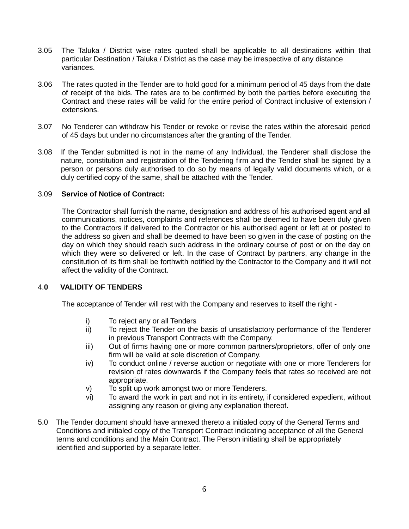- 3.05 The Taluka / District wise rates quoted shall be applicable to all destinations within that particular Destination / Taluka / District as the case may be irrespective of any distance variances.
- 3.06 The rates quoted in the Tender are to hold good for a minimum period of 45 days from the date of receipt of the bids. The rates are to be confirmed by both the parties before executing the Contract and these rates will be valid for the entire period of Contract inclusive of extension / extensions.
- 3.07 No Tenderer can withdraw his Tender or revoke or revise the rates within the aforesaid period of 45 days but under no circumstances after the granting of the Tender.
- 3.08 If the Tender submitted is not in the name of any Individual, the Tenderer shall disclose the nature, constitution and registration of the Tendering firm and the Tender shall be signed by a person or persons duly authorised to do so by means of legally valid documents which, or a duly certified copy of the same, shall be attached with the Tender.

### 3.09 **Service of Notice of Contract:**

The Contractor shall furnish the name, designation and address of his authorised agent and all communications, notices, complaints and references shall be deemed to have been duly given to the Contractors if delivered to the Contractor or his authorised agent or left at or posted to the address so given and shall be deemed to have been so given in the case of posting on the day on which they should reach such address in the ordinary course of post or on the day on which they were so delivered or left. In the case of Contract by partners, any change in the constitution of its firm shall be forthwith notified by the Contractor to the Company and it will not affect the validity of the Contract.

### 4.**0 VALIDITY OF TENDERS**

The acceptance of Tender will rest with the Company and reserves to itself the right -

- i) To reject any or all Tenders
- ii) To reject the Tender on the basis of unsatisfactory performance of the Tenderer in previous Transport Contracts with the Company.
- iii) Out of firms having one or more common partners/proprietors, offer of only one firm will be valid at sole discretion of Company.
- iv) To conduct online / reverse auction or negotiate with one or more Tenderers for revision of rates downwards if the Company feels that rates so received are not appropriate.
- v) To split up work amongst two or more Tenderers.
- vi) To award the work in part and not in its entirety, if considered expedient, without assigning any reason or giving any explanation thereof.
- 5.0 The Tender document should have annexed thereto a initialed copy of the General Terms and Conditions and initialed copy of the Transport Contract indicating acceptance of all the General terms and conditions and the Main Contract. The Person initiating shall be appropriately identified and supported by a separate letter.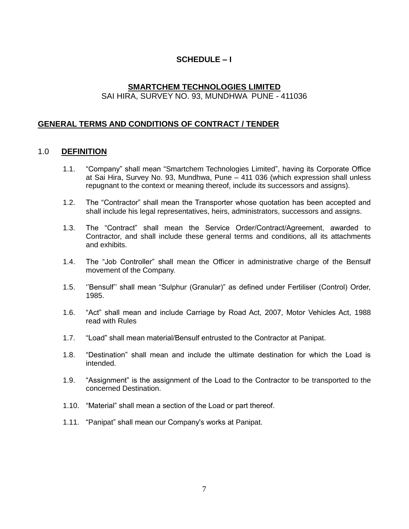# **SCHEDULE – I**

# **SMARTCHEM TECHNOLOGIES LIMITED** SAI HIRA, SURVEY NO. 93, MUNDHWA PUNE - 411036

# **GENERAL TERMS AND CONDITIONS OF CONTRACT / TENDER**

### 1.0 **DEFINITION**

- 1.1. "Company" shall mean "Smartchem Technologies Limited", having its Corporate Office at Sai Hira, Survey No. 93, Mundhwa, Pune – 411 036 (which expression shall unless repugnant to the context or meaning thereof, include its successors and assigns).
- 1.2. The "Contractor" shall mean the Transporter whose quotation has been accepted and shall include his legal representatives, heirs, administrators, successors and assigns.
- 1.3. The "Contract" shall mean the Service Order/Contract/Agreement, awarded to Contractor, and shall include these general terms and conditions, all its attachments and exhibits.
- 1.4. The "Job Controller" shall mean the Officer in administrative charge of the Bensulf movement of the Company.
- 1.5. ''Bensulf'' shall mean "Sulphur (Granular)" as defined under Fertiliser (Control) Order, 1985.
- 1.6. "Act" shall mean and include Carriage by Road Act, 2007, Motor Vehicles Act, 1988 read with Rules
- 1.7. "Load" shall mean material/Bensulf entrusted to the Contractor at Panipat.
- 1.8. "Destination" shall mean and include the ultimate destination for which the Load is intended.
- 1.9. "Assignment" is the assignment of the Load to the Contractor to be transported to the concerned Destination.
- 1.10. "Material" shall mean a section of the Load or part thereof.
- 1.11. "Panipat" shall mean our Company's works at Panipat.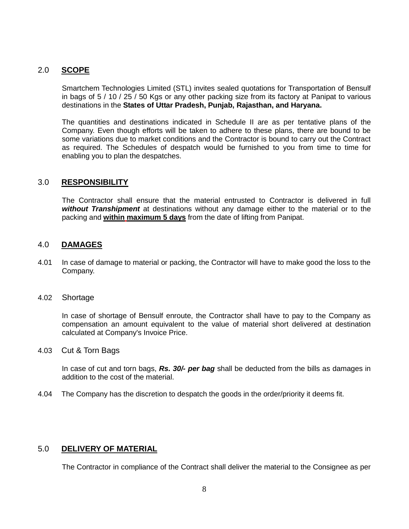# 2.0 **SCOPE**

Smartchem Technologies Limited (STL) invites sealed quotations for Transportation of Bensulf in bags of 5 / 10 / 25 / 50 Kgs or any other packing size from its factory at Panipat to various destinations in the **States of Uttar Pradesh, Punjab, Rajasthan, and Haryana.**

The quantities and destinations indicated in Schedule II are as per tentative plans of the Company. Even though efforts will be taken to adhere to these plans, there are bound to be some variations due to market conditions and the Contractor is bound to carry out the Contract as required. The Schedules of despatch would be furnished to you from time to time for enabling you to plan the despatches.

### 3.0 **RESPONSIBILITY**

The Contractor shall ensure that the material entrusted to Contractor is delivered in full *without Transhipment* at destinations without any damage either to the material or to the packing and **within maximum 5 days** from the date of lifting from Panipat.

### 4.0 **DAMAGES**

- 4.01 In case of damage to material or packing, the Contractor will have to make good the loss to the Company.
- 4.02 Shortage

In case of shortage of Bensulf enroute, the Contractor shall have to pay to the Company as compensation an amount equivalent to the value of material short delivered at destination calculated at Company's Invoice Price.

4.03 Cut & Torn Bags

In case of cut and torn bags, *Rs. 30/- per bag* shall be deducted from the bills as damages in addition to the cost of the material.

4.04 The Company has the discretion to despatch the goods in the order/priority it deems fit.

# 5.0 **DELIVERY OF MATERIAL**

The Contractor in compliance of the Contract shall deliver the material to the Consignee as per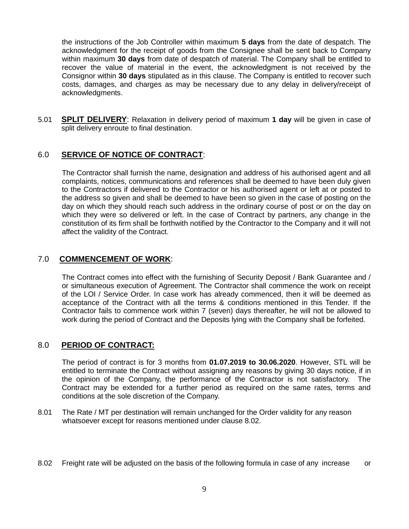the instructions of the Job Controller within maximum **5 days** from the date of despatch. The acknowledgment for the receipt of goods from the Consignee shall be sent back to Company within maximum **30 days** from date of despatch of material. The Company shall be entitled to recover the value of material in the event, the acknowledgment is not received by the Consignor within **30 days** stipulated as in this clause. The Company is entitled to recover such costs, damages, and charges as may be necessary due to any delay in delivery/receipt of acknowledgments.

5.01 **SPLIT DELIVERY**: Relaxation in delivery period of maximum **1 day** will be given in case of split delivery enroute to final destination.

### 6.0 **SERVICE OF NOTICE OF CONTRACT**:

The Contractor shall furnish the name, designation and address of his authorised agent and all complaints, notices, communications and references shall be deemed to have been duly given to the Contractors if delivered to the Contractor or his authorised agent or left at or posted to the address so given and shall be deemed to have been so given in the case of posting on the day on which they should reach such address in the ordinary course of post or on the day on which they were so delivered or left. In the case of Contract by partners, any change in the constitution of its firm shall be forthwith notified by the Contractor to the Company and it will not affect the validity of the Contract.

### 7.0 **COMMENCEMENT OF WORK**:

The Contract comes into effect with the furnishing of Security Deposit / Bank Guarantee and / or simultaneous execution of Agreement. The Contractor shall commence the work on receipt of the LOI / Service Order. In case work has already commenced, then it will be deemed as acceptance of the Contract with all the terms & conditions mentioned in this Tender. If the Contractor fails to commence work within 7 (seven) days thereafter, he will not be allowed to work during the period of Contract and the Deposits lying with the Company shall be forfeited.

### 8.0 **PERIOD OF CONTRACT:**

The period of contract is for 3 months from **01.07.2019 to 30.06.2020**. However, STL will be entitled to terminate the Contract without assigning any reasons by giving 30 days notice, if in the opinion of the Company, the performance of the Contractor is not satisfactory. The Contract may be extended for a further period as required on the same rates, terms and conditions at the sole discretion of the Company.

- 8.01 The Rate / MT per destination will remain unchanged for the Order validity for any reason whatsoever except for reasons mentioned under clause 8.02.
- 8.02 Freight rate will be adjusted on the basis of the following formula in case of any increase or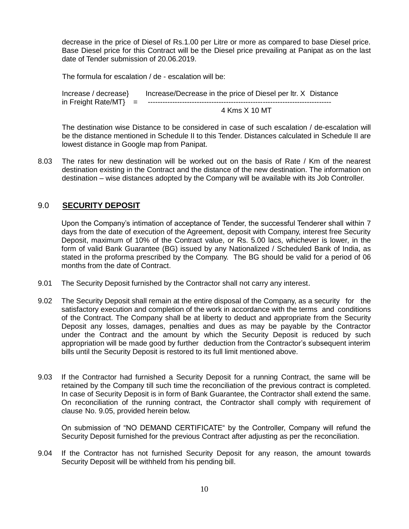decrease in the price of Diesel of Rs.1.00 per Litre or more as compared to base Diesel price. Base Diesel price for this Contract will be the Diesel price prevailing at Panipat as on the last date of Tender submission of 20.06.2019.

The formula for escalation / de - escalation will be:

Increase / decrease} Increase/Decrease in the price of Diesel per ltr. X Distance in Freight Rate/MT} = --------------------------------------------------------------------------- 4 Kms X 10 MT

The destination wise Distance to be considered in case of such escalation / de-escalation will be the distance mentioned in Schedule II to this Tender. Distances calculated in Schedule II are lowest distance in Google map from Panipat.

8.03 The rates for new destination will be worked out on the basis of Rate / Km of the nearest destination existing in the Contract and the distance of the new destination. The information on destination – wise distances adopted by the Company will be available with its Job Controller.

# 9.0 **SECURITY DEPOSIT**

Upon the Company's intimation of acceptance of Tender, the successful Tenderer shall within 7 days from the date of execution of the Agreement, deposit with Company, interest free Security Deposit, maximum of 10% of the Contract value, or Rs. 5.00 lacs, whichever is lower, in the form of valid Bank Guarantee (BG) issued by any Nationalized / Scheduled Bank of India, as stated in the proforma prescribed by the Company. The BG should be valid for a period of 06 months from the date of Contract.

- 9.01 The Security Deposit furnished by the Contractor shall not carry any interest.
- 9.02 The Security Deposit shall remain at the entire disposal of the Company, as a security for the satisfactory execution and completion of the work in accordance with the terms and conditions of the Contract. The Company shall be at liberty to deduct and appropriate from the Security Deposit any losses, damages, penalties and dues as may be payable by the Contractor under the Contract and the amount by which the Security Deposit is reduced by such appropriation will be made good by further deduction from the Contractor's subsequent interim bills until the Security Deposit is restored to its full limit mentioned above.
- 9.03 If the Contractor had furnished a Security Deposit for a running Contract, the same will be retained by the Company till such time the reconciliation of the previous contract is completed. In case of Security Deposit is in form of Bank Guarantee, the Contractor shall extend the same. On reconciliation of the running contract, the Contractor shall comply with requirement of clause No. 9.05, provided herein below.

On submission of "NO DEMAND CERTIFICATE" by the Controller, Company will refund the Security Deposit furnished for the previous Contract after adjusting as per the reconciliation.

9.04 If the Contractor has not furnished Security Deposit for any reason, the amount towards Security Deposit will be withheld from his pending bill.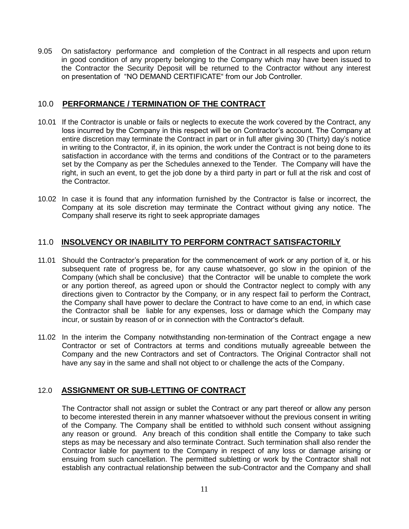9.05 On satisfactory performance and completion of the Contract in all respects and upon return in good condition of any property belonging to the Company which may have been issued to the Contractor the Security Deposit will be returned to the Contractor without any interest on presentation of "NO DEMAND CERTIFICATE" from our Job Controller.

# 10.0 **PERFORMANCE / TERMINATION OF THE CONTRACT**

- 10.01 If the Contractor is unable or fails or neglects to execute the work covered by the Contract, any loss incurred by the Company in this respect will be on Contractor's account. The Company at entire discretion may terminate the Contract in part or in full after giving 30 (Thirty) day's notice in writing to the Contractor, if, in its opinion, the work under the Contract is not being done to its satisfaction in accordance with the terms and conditions of the Contract or to the parameters set by the Company as per the Schedules annexed to the Tender. The Company will have the right, in such an event, to get the job done by a third party in part or full at the risk and cost of the Contractor.
- 10.02 In case it is found that any information furnished by the Contractor is false or incorrect, the Company at its sole discretion may terminate the Contract without giving any notice. The Company shall reserve its right to seek appropriate damages

# 11.0 **INSOLVENCY OR INABILITY TO PERFORM CONTRACT SATISFACTORILY**

- 11.01 Should the Contractor's preparation for the commencement of work or any portion of it, or his subsequent rate of progress be, for any cause whatsoever, go slow in the opinion of the Company (which shall be conclusive) that the Contractor will be unable to complete the work or any portion thereof, as agreed upon or should the Contractor neglect to comply with any directions given to Contractor by the Company, or in any respect fail to perform the Contract, the Company shall have power to declare the Contract to have come to an end, in which case the Contractor shall be liable for any expenses, loss or damage which the Company may incur, or sustain by reason of or in connection with the Contractor's default.
- 11.02 In the interim the Company notwithstanding non-termination of the Contract engage a new Contractor or set of Contractors at terms and conditions mutually agreeable between the Company and the new Contractors and set of Contractors. The Original Contractor shall not have any say in the same and shall not object to or challenge the acts of the Company.

# 12.0 **ASSIGNMENT OR SUB-LETTING OF CONTRACT**

The Contractor shall not assign or sublet the Contract or any part thereof or allow any person to become interested therein in any manner whatsoever without the previous consent in writing of the Company. The Company shall be entitled to withhold such consent without assigning any reason or ground. Any breach of this condition shall entitle the Company to take such steps as may be necessary and also terminate Contract. Such termination shall also render the Contractor liable for payment to the Company in respect of any loss or damage arising or ensuing from such cancellation. The permitted subletting or work by the Contractor shall not establish any contractual relationship between the sub-Contractor and the Company and shall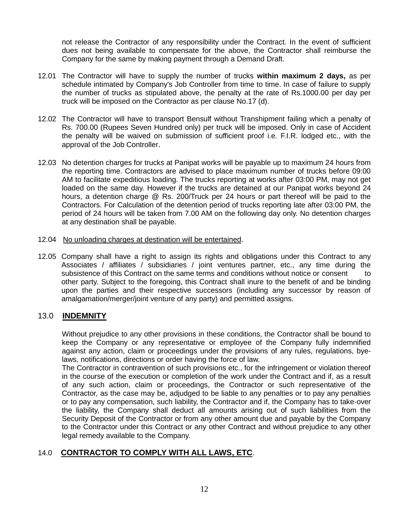not release the Contractor of any responsibility under the Contract. In the event of sufficient dues not being available to compensate for the above, the Contractor shall reimburse the Company for the same by making payment through a Demand Draft.

- 12.01 The Contractor will have to supply the number of trucks **within maximum 2 days,** as per schedule intimated by Company's Job Controller from time to time. In case of failure to supply the number of trucks as stipulated above, the penalty at the rate of Rs.1000.00 per day per truck will be imposed on the Contractor as per clause No.17 (d).
- 12.02 The Contractor will have to transport Bensulf without Transhipment failing which a penalty of Rs. 700.00 (Rupees Seven Hundred only) per truck will be imposed. Only in case of Accident the penalty will be waived on submission of sufficient proof i.e. F.I.R. lodged etc., with the approval of the Job Controller.
- 12.03 No detention charges for trucks at Panipat works will be payable up to maximum 24 hours from the reporting time. Contractors are advised to place maximum number of trucks before 09:00 AM to facilitate expeditious loading. The trucks reporting at works after 03:00 PM, may not get loaded on the same day. However if the trucks are detained at our Panipat works beyond 24 hours, a detention charge @ Rs. 200/Truck per 24 hours or part thereof will be paid to the Contractors. For Calculation of the detention period of trucks reporting late after 03:00 PM, the period of 24 hours will be taken from 7.00 AM on the following day only. No detention charges at any destination shall be payable.
- 12.04 No unloading charges at destination will be entertained.
- 12.05 Company shall have a right to assign its rights and obligations under this Contract to any Associates / affiliates / subsidiaries / joint ventures partner, etc., any time during the subsistence of this Contract on the same terms and conditions without notice or consent to other party. Subject to the foregoing, this Contract shall inure to the benefit of and be binding upon the parties and their respective successors (including any successor by reason of amalgamation/merger/joint venture of any party) and permitted assigns.

# 13.0 **INDEMNITY**

Without prejudice to any other provisions in these conditions, the Contractor shall be bound to keep the Company or any representative or employee of the Company fully indemnified against any action, claim or proceedings under the provisions of any rules, regulations, byelaws, notifications, directions or order having the force of law.

The Contractor in contravention of such provisions etc., for the infringement or violation thereof in the course of the execution or completion of the work under the Contract and if, as a result of any such action, claim or proceedings, the Contractor or such representative of the Contractor, as the case may be, adjudged to be liable to any penalties or to pay any penalties or to pay any compensation, such liability, the Contractor and if, the Company has to take-over the liability, the Company shall deduct all amounts arising out of such liabilities from the Security Deposit of the Contractor or from any other amount due and payable by the Company to the Contractor under this Contract or any other Contract and without prejudice to any other legal remedy available to the Company.

# 14.0 **CONTRACTOR TO COMPLY WITH ALL LAWS, ETC**.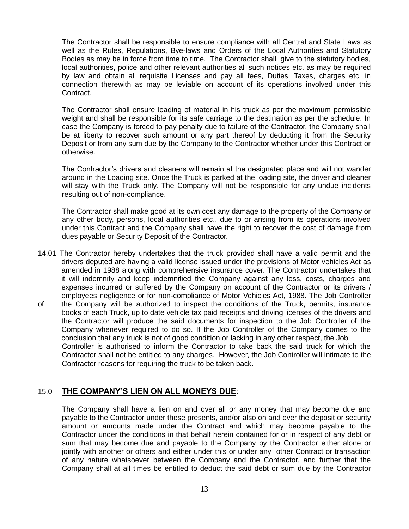The Contractor shall be responsible to ensure compliance with all Central and State Laws as well as the Rules, Regulations, Bye-laws and Orders of the Local Authorities and Statutory Bodies as may be in force from time to time. The Contractor shall give to the statutory bodies, local authorities, police and other relevant authorities all such notices etc. as may be required by law and obtain all requisite Licenses and pay all fees, Duties, Taxes, charges etc. in connection therewith as may be leviable on account of its operations involved under this Contract.

The Contractor shall ensure loading of material in his truck as per the maximum permissible weight and shall be responsible for its safe carriage to the destination as per the schedule. In case the Company is forced to pay penalty due to failure of the Contractor, the Company shall be at liberty to recover such amount or any part thereof by deducting it from the Security Deposit or from any sum due by the Company to the Contractor whether under this Contract or otherwise.

The Contractor's drivers and cleaners will remain at the designated place and will not wander around in the Loading site. Once the Truck is parked at the loading site, the driver and cleaner will stay with the Truck only. The Company will not be responsible for any undue incidents resulting out of non-compliance.

The Contractor shall make good at its own cost any damage to the property of the Company or any other body, persons, local authorities etc., due to or arising from its operations involved under this Contract and the Company shall have the right to recover the cost of damage from dues payable or Security Deposit of the Contractor.

- 14.01 The Contractor hereby undertakes that the truck provided shall have a valid permit and the drivers deputed are having a valid license issued under the provisions of Motor vehicles Act as amended in 1988 along with comprehensive insurance cover. The Contractor undertakes that it will indemnify and keep indemnified the Company against any loss, costs, charges and expenses incurred or suffered by the Company on account of the Contractor or its drivers / employees negligence or for non-compliance of Motor Vehicles Act, 1988. The Job Controller
- of the Company will be authorized to inspect the conditions of the Truck, permits, insurance books of each Truck, up to date vehicle tax paid receipts and driving licenses of the drivers and the Contractor will produce the said documents for inspection to the Job Controller of the Company whenever required to do so. If the Job Controller of the Company comes to the conclusion that any truck is not of good condition or lacking in any other respect, the Job Controller is authorised to inform the Contractor to take back the said truck for which the Contractor shall not be entitled to any charges. However, the Job Controller will intimate to the Contractor reasons for requiring the truck to be taken back.

# 15.0 **THE COMPANY'S LIEN ON ALL MONEYS DUE**:

The Company shall have a lien on and over all or any money that may become due and payable to the Contractor under these presents, and/or also on and over the deposit or security amount or amounts made under the Contract and which may become payable to the Contractor under the conditions in that behalf herein contained for or in respect of any debt or sum that may become due and payable to the Company by the Contractor either alone or jointly with another or others and either under this or under any other Contract or transaction of any nature whatsoever between the Company and the Contractor, and further that the Company shall at all times be entitled to deduct the said debt or sum due by the Contractor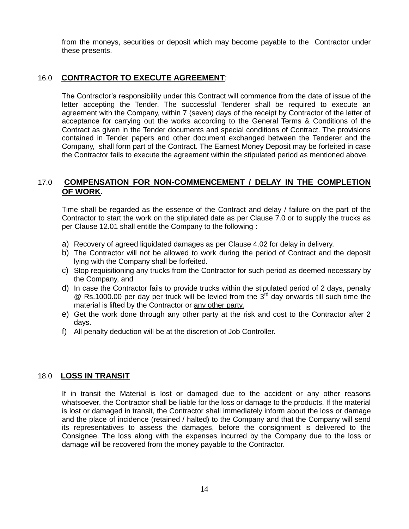from the moneys, securities or deposit which may become payable to the Contractor under these presents.

### 16.0 **CONTRACTOR TO EXECUTE AGREEMENT**:

The Contractor's responsibility under this Contract will commence from the date of issue of the letter accepting the Tender. The successful Tenderer shall be required to execute an agreement with the Company, within 7 (seven) days of the receipt by Contractor of the letter of acceptance for carrying out the works according to the General Terms & Conditions of the Contract as given in the Tender documents and special conditions of Contract. The provisions contained in Tender papers and other document exchanged between the Tenderer and the Company, shall form part of the Contract. The Earnest Money Deposit may be forfeited in case the Contractor fails to execute the agreement within the stipulated period as mentioned above.

### 17.0 **COMPENSATION FOR NON-COMMENCEMENT / DELAY IN THE COMPLETION OF WORK.**

Time shall be regarded as the essence of the Contract and delay / failure on the part of the Contractor to start the work on the stipulated date as per Clause 7.0 or to supply the trucks as per Clause 12.01 shall entitle the Company to the following :

- a) Recovery of agreed liquidated damages as per Clause 4.02 for delay in delivery.
- b) The Contractor will not be allowed to work during the period of Contract and the deposit lying with the Company shall be forfeited.
- c) Stop requisitioning any trucks from the Contractor for such period as deemed necessary by the Company, and
- d) In case the Contractor fails to provide trucks within the stipulated period of 2 days, penalty  $\textcircled{e}$  Rs.1000.00 per day per truck will be levied from the 3<sup>rd</sup> day onwards till such time the material is lifted by the Contractor or any other party.
- e) Get the work done through any other party at the risk and cost to the Contractor after 2 days.
- f) All penalty deduction will be at the discretion of Job Controller.

#### 18.0 **LOSS IN TRANSIT**

If in transit the Material is lost or damaged due to the accident or any other reasons whatsoever, the Contractor shall be liable for the loss or damage to the products. If the material is lost or damaged in transit, the Contractor shall immediately inform about the loss or damage and the place of incidence (retained / halted) to the Company and that the Company will send its representatives to assess the damages, before the consignment is delivered to the Consignee. The loss along with the expenses incurred by the Company due to the loss or damage will be recovered from the money payable to the Contractor.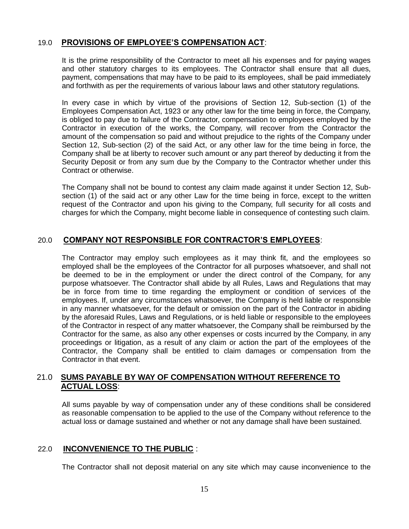### 19.0 **PROVISIONS OF EMPLOYEE'S COMPENSATION ACT**:

It is the prime responsibility of the Contractor to meet all his expenses and for paying wages and other statutory charges to its employees. The Contractor shall ensure that all dues, payment, compensations that may have to be paid to its employees, shall be paid immediately and forthwith as per the requirements of various labour laws and other statutory regulations.

In every case in which by virtue of the provisions of Section 12, Sub-section (1) of the Employees Compensation Act, 1923 or any other law for the time being in force, the Company, is obliged to pay due to failure of the Contractor, compensation to employees employed by the Contractor in execution of the works, the Company, will recover from the Contractor the amount of the compensation so paid and without prejudice to the rights of the Company under Section 12, Sub-section (2) of the said Act, or any other law for the time being in force, the Company shall be at liberty to recover such amount or any part thereof by deducting it from the Security Deposit or from any sum due by the Company to the Contractor whether under this Contract or otherwise.

The Company shall not be bound to contest any claim made against it under Section 12, Subsection (1) of the said act or any other Law for the time being in force, except to the written request of the Contractor and upon his giving to the Company, full security for all costs and charges for which the Company, might become liable in consequence of contesting such claim.

# 20.0 **COMPANY NOT RESPONSIBLE FOR CONTRACTOR'S EMPLOYEES**:

The Contractor may employ such employees as it may think fit, and the employees so employed shall be the employees of the Contractor for all purposes whatsoever, and shall not be deemed to be in the employment or under the direct control of the Company, for any purpose whatsoever. The Contractor shall abide by all Rules, Laws and Regulations that may be in force from time to time regarding the employment or condition of services of the employees. If, under any circumstances whatsoever, the Company is held liable or responsible in any manner whatsoever, for the default or omission on the part of the Contractor in abiding by the aforesaid Rules, Laws and Regulations, or is held liable or responsible to the employees of the Contractor in respect of any matter whatsoever, the Company shall be reimbursed by the Contractor for the same, as also any other expenses or costs incurred by the Company, in any proceedings or litigation, as a result of any claim or action the part of the employees of the Contractor, the Company shall be entitled to claim damages or compensation from the Contractor in that event.

### 21.0 **SUMS PAYABLE BY WAY OF COMPENSATION WITHOUT REFERENCE TO ACTUAL LOSS**:

All sums payable by way of compensation under any of these conditions shall be considered as reasonable compensation to be applied to the use of the Company without reference to the actual loss or damage sustained and whether or not any damage shall have been sustained.

# 22.0 **INCONVENIENCE TO THE PUBLIC** :

The Contractor shall not deposit material on any site which may cause inconvenience to the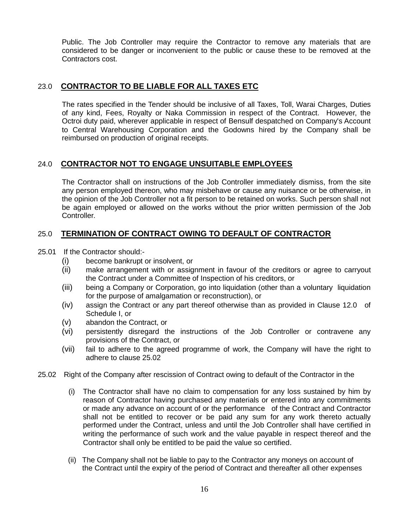Public. The Job Controller may require the Contractor to remove any materials that are considered to be danger or inconvenient to the public or cause these to be removed at the Contractors cost.

### 23.0 **CONTRACTOR TO BE LIABLE FOR ALL TAXES ETC**

The rates specified in the Tender should be inclusive of all Taxes, Toll, Warai Charges, Duties of any kind, Fees, Royalty or Naka Commission in respect of the Contract. However, the Octroi duty paid, wherever applicable in respect of Bensulf despatched on Company's Account to Central Warehousing Corporation and the Godowns hired by the Company shall be reimbursed on production of original receipts.

### 24.0 **CONTRACTOR NOT TO ENGAGE UNSUITABLE EMPLOYEES**

The Contractor shall on instructions of the Job Controller immediately dismiss, from the site any person employed thereon, who may misbehave or cause any nuisance or be otherwise, in the opinion of the Job Controller not a fit person to be retained on works. Such person shall not be again employed or allowed on the works without the prior written permission of the Job Controller.

# 25.0 **TERMINATION OF CONTRACT OWING TO DEFAULT OF CONTRACTOR**

25.01 If the Contractor should:-

- (i) become bankrupt or insolvent, or
- (ii) make arrangement with or assignment in favour of the creditors or agree to carryout the Contract under a Committee of Inspection of his creditors, or
- (iii) being a Company or Corporation, go into liquidation (other than a voluntary liquidation for the purpose of amalgamation or reconstruction), or
- (iv) assign the Contract or any part thereof otherwise than as provided in Clause 12.0 of Schedule I, or
- (v) abandon the Contract, or
- (vi) persistently disregard the instructions of the Job Controller or contravene any provisions of the Contract, or
- (vii) fail to adhere to the agreed programme of work, the Company will have the right to adhere to clause 25.02
- 25.02 Right of the Company after rescission of Contract owing to default of the Contractor in the
	- (i) The Contractor shall have no claim to compensation for any loss sustained by him by reason of Contractor having purchased any materials or entered into any commitments or made any advance on account of or the performance of the Contract and Contractor shall not be entitled to recover or be paid any sum for any work thereto actually performed under the Contract, unless and until the Job Controller shall have certified in writing the performance of such work and the value payable in respect thereof and the Contractor shall only be entitled to be paid the value so certified.
	- (ii) The Company shall not be liable to pay to the Contractor any moneys on account of the Contract until the expiry of the period of Contract and thereafter all other expenses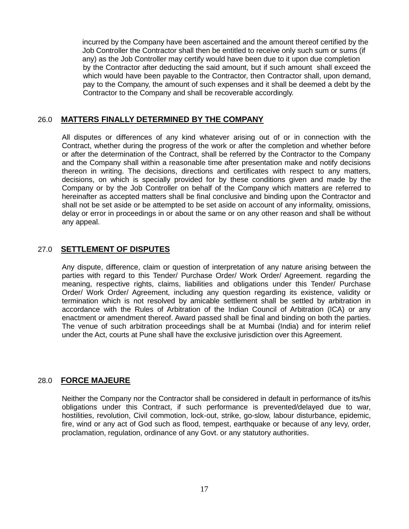incurred by the Company have been ascertained and the amount thereof certified by the Job Controller the Contractor shall then be entitled to receive only such sum or sums (if any) as the Job Controller may certify would have been due to it upon due completion by the Contractor after deducting the said amount, but if such amount shall exceed the which would have been payable to the Contractor, then Contractor shall, upon demand, pay to the Company, the amount of such expenses and it shall be deemed a debt by the Contractor to the Company and shall be recoverable accordingly.

### 26.0 **MATTERS FINALLY DETERMINED BY THE COMPANY**

All disputes or differences of any kind whatever arising out of or in connection with the Contract, whether during the progress of the work or after the completion and whether before or after the determination of the Contract, shall be referred by the Contractor to the Company and the Company shall within a reasonable time after presentation make and notify decisions thereon in writing. The decisions, directions and certificates with respect to any matters, decisions, on which is specially provided for by these conditions given and made by the Company or by the Job Controller on behalf of the Company which matters are referred to hereinafter as accepted matters shall be final conclusive and binding upon the Contractor and shall not be set aside or be attempted to be set aside on account of any informality, omissions, delay or error in proceedings in or about the same or on any other reason and shall be without any appeal.

### 27.0 **SETTLEMENT OF DISPUTES**

Any dispute, difference, claim or question of interpretation of any nature arising between the parties with regard to this Tender/ Purchase Order/ Work Order/ Agreement. regarding the meaning, respective rights, claims, liabilities and obligations under this Tender/ Purchase Order/ Work Order/ Agreement, including any question regarding its existence, validity or termination which is not resolved by amicable settlement shall be settled by arbitration in accordance with the Rules of Arbitration of the Indian Council of Arbitration (ICA) or any enactment or amendment thereof. Award passed shall be final and binding on both the parties. The venue of such arbitration proceedings shall be at Mumbai (India) and for interim relief under the Act, courts at Pune shall have the exclusive jurisdiction over this Agreement.

### 28.0 **FORCE MAJEURE**

Neither the Company nor the Contractor shall be considered in default in performance of its/his obligations under this Contract, if such performance is prevented/delayed due to war, hostilities, revolution, Civil commotion, lock-out, strike, go-slow, labour disturbance, epidemic, fire, wind or any act of God such as flood, tempest, earthquake or because of any levy, order, proclamation, regulation, ordinance of any Govt. or any statutory authorities.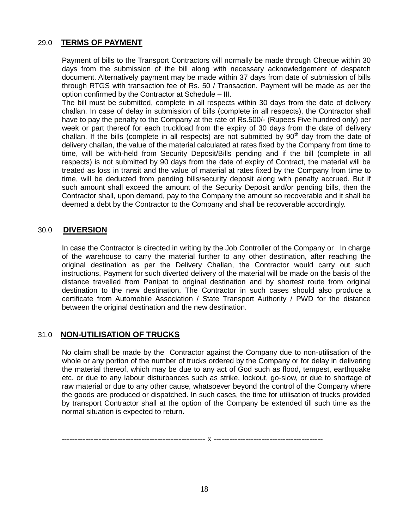### 29.0 **TERMS OF PAYMENT**

Payment of bills to the Transport Contractors will normally be made through Cheque within 30 days from the submission of the bill along with necessary acknowledgement of despatch document. Alternatively payment may be made within 37 days from date of submission of bills through RTGS with transaction fee of Rs. 50 / Transaction. Payment will be made as per the option confirmed by the Contractor at Schedule – III.

The bill must be submitted, complete in all respects within 30 days from the date of delivery challan. In case of delay in submission of bills (complete in all respects), the Contractor shall have to pay the penalty to the Company at the rate of Rs.500/- (Rupees Five hundred only) per week or part thereof for each truckload from the expiry of 30 days from the date of delivery challan. If the bills (complete in all respects) are not submitted by  $90<sup>th</sup>$  day from the date of delivery challan, the value of the material calculated at rates fixed by the Company from time to time, will be with-held from Security Deposit/Bills pending and if the bill (complete in all respects) is not submitted by 90 days from the date of expiry of Contract, the material will be treated as loss in transit and the value of material at rates fixed by the Company from time to time, will be deducted from pending bills/security deposit along with penalty accrued. But if such amount shall exceed the amount of the Security Deposit and/or pending bills, then the Contractor shall, upon demand, pay to the Company the amount so recoverable and it shall be deemed a debt by the Contractor to the Company and shall be recoverable accordingly.

### 30.0 **DIVERSION**

In case the Contractor is directed in writing by the Job Controller of the Company or In charge of the warehouse to carry the material further to any other destination, after reaching the original destination as per the Delivery Challan, the Contractor would carry out such instructions, Payment for such diverted delivery of the material will be made on the basis of the distance travelled from Panipat to original destination and by shortest route from original destination to the new destination. The Contractor in such cases should also produce a certificate from Automobile Association / State Transport Authority / PWD for the distance between the original destination and the new destination.

# 31.0 **NON-UTILISATION OF TRUCKS**

No claim shall be made by the Contractor against the Company due to non-utilisation of the whole or any portion of the number of trucks ordered by the Company or for delay in delivering the material thereof, which may be due to any act of God such as flood, tempest, earthquake etc. or due to any labour disturbances such as strike, lockout, go-slow, or due to shortage of raw material or due to any other cause, whatsoever beyond the control of the Company where the goods are produced or dispatched. In such cases, the time for utilisation of trucks provided by transport Contractor shall at the option of the Company be extended till such time as the normal situation is expected to return.

------------------------------------------------------ x -----------------------------------------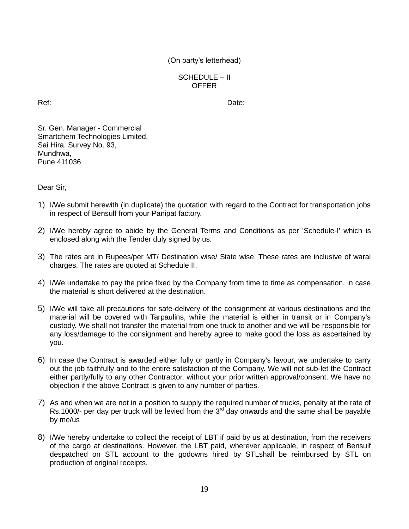SCHEDULE – II **OFFER** 

Ref: **Date:** Date: **Date:** Property of the Manual Section of the Date: **Date: Date:** 

Sr. Gen. Manager - Commercial Smartchem Technologies Limited, Sai Hira, Survey No. 93, Mundhwa, Pune 411036

Dear Sir,

- 1) I/We submit herewith (in duplicate) the quotation with regard to the Contract for transportation jobs in respect of Bensulf from your Panipat factory.
- 2) I/We hereby agree to abide by the General Terms and Conditions as per 'Schedule-I' which is enclosed along with the Tender duly signed by us.
- 3) The rates are in Rupees/per MT/ Destination wise/ State wise. These rates are inclusive of warai charges. The rates are quoted at Schedule II.
- 4) I/We undertake to pay the price fixed by the Company from time to time as compensation, in case the material is short delivered at the destination.
- 5) I/We will take all precautions for safe-delivery of the consignment at various destinations and the material will be covered with Tarpaulins, while the material is either in transit or in Company's custody. We shall not transfer the material from one truck to another and we will be responsible for any loss/damage to the consignment and hereby agree to make good the loss as ascertained by you.
- 6) In case the Contract is awarded either fully or partly in Company's favour, we undertake to carry out the job faithfully and to the entire satisfaction of the Company. We will not sub-let the Contract either partly/fully to any other Contractor, without your prior written approval/consent. We have no objection if the above Contract is given to any number of parties.
- 7) As and when we are not in a position to supply the required number of trucks, penalty at the rate of Rs.1000/- per day per truck will be levied from the  $3<sup>rd</sup>$  day onwards and the same shall be payable by me/us
- 8) I/We hereby undertake to collect the receipt of LBT if paid by us at destination, from the receivers of the cargo at destinations. However, the LBT paid, wherever applicable, in respect of Bensulf despatched on STL account to the godowns hired by STLshall be reimbursed by STL on production of original receipts.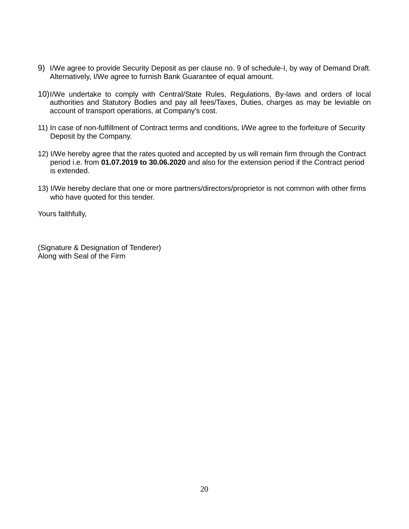- 9) I/We agree to provide Security Deposit as per clause no. 9 of schedule-I, by way of Demand Draft. Alternatively, I/We agree to furnish Bank Guarantee of equal amount.
- 10)I/We undertake to comply with Central/State Rules, Regulations, By-laws and orders of local authorities and Statutory Bodies and pay all fees/Taxes, Duties, charges as may be leviable on account of transport operations, at Company's cost.
- 11) In case of non-fulfillment of Contract terms and conditions, I/We agree to the forfeiture of Security Deposit by the Company.
- 12) I/We hereby agree that the rates quoted and accepted by us will remain firm through the Contract period i.e. from **01.07.2019 to 30.06.2020** and also for the extension period if the Contract period is extended.
- 13) I/We hereby declare that one or more partners/directors/proprietor is not common with other firms who have quoted for this tender.

Yours faithfully,

(Signature & Designation of Tenderer) Along with Seal of the Firm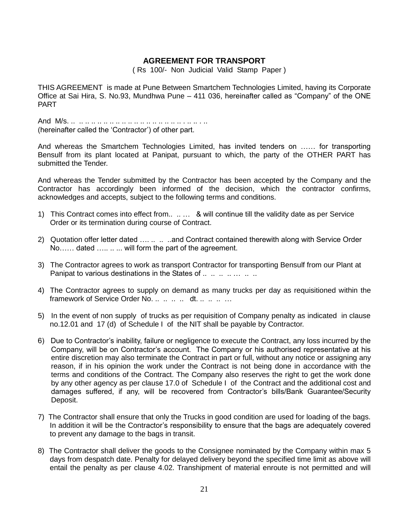### **AGREEMENT FOR TRANSPORT**

( Rs 100/- Non Judicial Valid Stamp Paper )

THIS AGREEMENT is made at Pune Between Smartchem Technologies Limited, having its Corporate Office at Sai Hira, S. No.93, Mundhwa Pune – 411 036, hereinafter called as "Company" of the ONE PART

And M/s. .. .. .. .. .. .. .. .. .. .. .. .. .. .. .. .. .. .. . .. .. . .. (hereinafter called the 'Contractor') of other part.

And whereas the Smartchem Technologies Limited, has invited tenders on …… for transporting Bensulf from its plant located at Panipat, pursuant to which, the party of the OTHER PART has submitted the Tender.

And whereas the Tender submitted by the Contractor has been accepted by the Company and the Contractor has accordingly been informed of the decision, which the contractor confirms, acknowledges and accepts, subject to the following terms and conditions.

- 1) This Contract comes into effect from.. .. … & will continue till the validity date as per Service Order or its termination during course of Contract.
- 2) Quotation offer letter dated ….. .. ... ..and Contract contained therewith along with Service Order No…… dated ….. ... will form the part of the agreement.
- 3) The Contractor agrees to work as transport Contractor for transporting Bensulf from our Plant at Panipat to various destinations in the States of ..... ... ... ... ...
- 4) The Contractor agrees to supply on demand as many trucks per day as requisitioned within the framework of Service Order No. .. .. .. dt. .. .. .. ..
- 5) In the event of non supply of trucks as per requisition of Company penalty as indicated in clause no.12.01 and 17 (d) of Schedule I of the NIT shall be payable by Contractor.
- 6) Due to Contractor's inability, failure or negligence to execute the Contract, any loss incurred by the Company, will be on Contractor's account. The Company or his authorised representative at his entire discretion may also terminate the Contract in part or full, without any notice or assigning any reason, if in his opinion the work under the Contract is not being done in accordance with the terms and conditions of the Contract. The Company also reserves the right to get the work done by any other agency as per clause 17.0 of Schedule I of the Contract and the additional cost and damages suffered, if any, will be recovered from Contractor's bills/Bank Guarantee/Security Deposit.
- 7) The Contractor shall ensure that only the Trucks in good condition are used for loading of the bags. In addition it will be the Contractor's responsibility to ensure that the bags are adequately covered to prevent any damage to the bags in transit.
- 8) The Contractor shall deliver the goods to the Consignee nominated by the Company within max 5 days from despatch date. Penalty for delayed delivery beyond the specified time limit as above will entail the penalty as per clause 4.02. Transhipment of material enroute is not permitted and will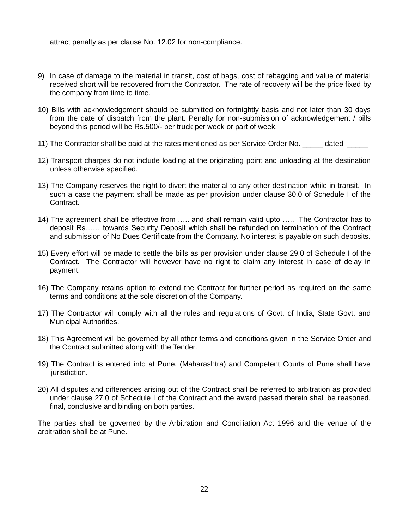attract penalty as per clause No. 12.02 for non-compliance.

- 9) In case of damage to the material in transit, cost of bags, cost of rebagging and value of material received short will be recovered from the Contractor. The rate of recovery will be the price fixed by the company from time to time.
- 10) Bills with acknowledgement should be submitted on fortnightly basis and not later than 30 days from the date of dispatch from the plant. Penalty for non-submission of acknowledgement / bills beyond this period will be Rs.500/- per truck per week or part of week.
- 11) The Contractor shall be paid at the rates mentioned as per Service Order No. \_\_\_\_\_ dated \_\_\_\_\_
- 12) Transport charges do not include loading at the originating point and unloading at the destination unless otherwise specified.
- 13) The Company reserves the right to divert the material to any other destination while in transit. In such a case the payment shall be made as per provision under clause 30.0 of Schedule I of the Contract.
- 14) The agreement shall be effective from ….. and shall remain valid upto ….. The Contractor has to deposit Rs…… towards Security Deposit which shall be refunded on termination of the Contract and submission of No Dues Certificate from the Company. No interest is payable on such deposits.
- 15) Every effort will be made to settle the bills as per provision under clause 29.0 of Schedule I of the Contract. The Contractor will however have no right to claim any interest in case of delay in payment.
- 16) The Company retains option to extend the Contract for further period as required on the same terms and conditions at the sole discretion of the Company.
- 17) The Contractor will comply with all the rules and regulations of Govt. of India, State Govt. and Municipal Authorities.
- 18) This Agreement will be governed by all other terms and conditions given in the Service Order and the Contract submitted along with the Tender.
- 19) The Contract is entered into at Pune, (Maharashtra) and Competent Courts of Pune shall have jurisdiction.
- 20) All disputes and differences arising out of the Contract shall be referred to arbitration as provided under clause 27.0 of Schedule I of the Contract and the award passed therein shall be reasoned, final, conclusive and binding on both parties.

The parties shall be governed by the Arbitration and Conciliation Act 1996 and the venue of the arbitration shall be at Pune.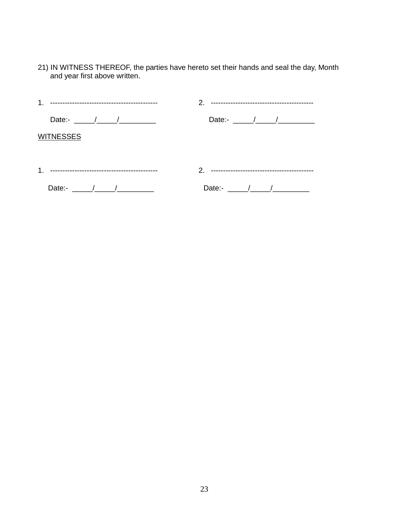21) IN WITNESS THEREOF, the parties have hereto set their hands and seal the day, Month and year first above written.

| 1.                                                                                  |                                                                                                                                                                                                                                                                                                                                                                                                                          |
|-------------------------------------------------------------------------------------|--------------------------------------------------------------------------------------------------------------------------------------------------------------------------------------------------------------------------------------------------------------------------------------------------------------------------------------------------------------------------------------------------------------------------|
| Date:- $\frac{1}{\sqrt{1-\frac{1}{2}}}\sqrt{1-\frac{1}{2}}$                         | Date:- $\frac{1}{\sqrt{1-\frac{1}{2}}}\frac{1}{\sqrt{1-\frac{1}{2}}}\frac{1}{\sqrt{1-\frac{1}{2}}}\frac{1}{\sqrt{1-\frac{1}{2}}}\frac{1}{\sqrt{1-\frac{1}{2}}}\frac{1}{\sqrt{1-\frac{1}{2}}}\frac{1}{\sqrt{1-\frac{1}{2}}}\frac{1}{\sqrt{1-\frac{1}{2}}}\frac{1}{\sqrt{1-\frac{1}{2}}}\frac{1}{\sqrt{1-\frac{1}{2}}}\frac{1}{\sqrt{1-\frac{1}{2}}}\frac{1}{\sqrt{1-\frac{1}{2}}}\frac{1}{\sqrt{1-\frac{1}{2}}}\frac{1}{$ |
| <b>WITNESSES</b>                                                                    |                                                                                                                                                                                                                                                                                                                                                                                                                          |
|                                                                                     |                                                                                                                                                                                                                                                                                                                                                                                                                          |
| 1.                                                                                  |                                                                                                                                                                                                                                                                                                                                                                                                                          |
| Date:- $\frac{1}{\sqrt{1-\frac{1}{2}}}\left  \frac{1}{\sqrt{1-\frac{1}{2}}}\right $ | Date:- $\qquad \qquad / \qquad \qquad /$                                                                                                                                                                                                                                                                                                                                                                                 |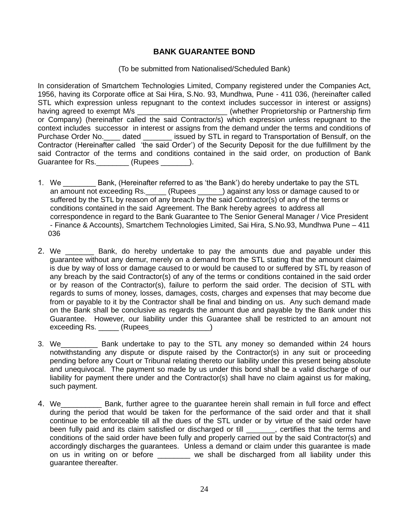### **BANK GUARANTEE BOND**

#### (To be submitted from Nationalised/Scheduled Bank)

In consideration of Smartchem Technologies Limited, Company registered under the Companies Act, 1956, having its Corporate office at Sai Hira, S.No. 93, Mundhwa, Pune - 411 036, (hereinafter called STL which expression unless repugnant to the context includes successor in interest or assigns) having agreed to exempt M/s \_\_\_\_\_\_\_\_\_\_\_\_\_\_\_\_\_\_\_\_\_\_\_\_\_\_\_\_\_(whether Proprietorship or Partnership firm or Company) (hereinafter called the said Contractor/s) which expression unless repugnant to the context includes successor in interest or assigns from the demand under the terms and conditions of Purchase Order No. \_\_\_\_ dated \_\_\_\_\_\_\_\_\_ issued by STL in regard to Transportation of Bensulf, on the Contractor (Hereinafter called 'the said Order') of the Security Deposit for the due fulfillment by the said Contractor of the terms and conditions contained in the said order, on production of Bank Guarantee for Rs. \_\_\_\_\_\_\_\_ (Rupees \_\_\_\_\_\_\_).

- 1. We Sank, (Hereinafter referred to as 'the Bank') do hereby undertake to pay the STL an amount not exceeding Rs.  $\qquad \qquad$  (Rupees ) against any loss or damage caused to or suffered by the STL by reason of any breach by the said Contractor(s) of any of the terms or conditions contained in the said Agreement. The Bank hereby agrees to address all correspondence in regard to the Bank Guarantee to The Senior General Manager / Vice President - Finance & Accounts), Smartchem Technologies Limited, Sai Hira, S.No.93, Mundhwa Pune – 411 036
- 2. We **Example Bank, do hereby undertake to pay the amounts due and payable under this** guarantee without any demur, merely on a demand from the STL stating that the amount claimed is due by way of loss or damage caused to or would be caused to or suffered by STL by reason of any breach by the said Contractor(s) of any of the terms or conditions contained in the said order or by reason of the Contractor(s), failure to perform the said order. The decision of STL with regards to sums of money, losses, damages, costs, charges and expenses that may become due from or payable to it by the Contractor shall be final and binding on us. Any such demand made on the Bank shall be conclusive as regards the amount due and payable by the Bank under this Guarantee. However, our liability under this Guarantee shall be restricted to an amount not exceeding Rs. (Rupees and all not contained a second second second second second second second second second s
- 3. We\_\_\_\_\_\_\_\_\_ Bank undertake to pay to the STL any money so demanded within 24 hours notwithstanding any dispute or dispute raised by the Contractor(s) in any suit or proceeding pending before any Court or Tribunal relating thereto our liability under this present being absolute and unequivocal. The payment so made by us under this bond shall be a valid discharge of our liability for payment there under and the Contractor(s) shall have no claim against us for making, such payment.
- 4. We\_\_\_\_\_\_\_\_\_\_ Bank, further agree to the guarantee herein shall remain in full force and effect during the period that would be taken for the performance of the said order and that it shall continue to be enforceable till all the dues of the STL under or by virtue of the said order have been fully paid and its claim satisfied or discharged or till early certifies that the terms and conditions of the said order have been fully and properly carried out by the said Contractor(s) and accordingly discharges the guarantees. Unless a demand or claim under this guarantee is made on us in writing on or before \_\_\_\_\_\_\_ we shall be discharged from all liability under this guarantee thereafter.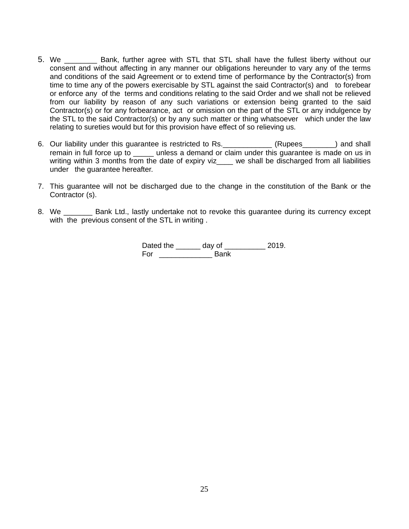- 5. We Bank, further agree with STL that STL shall have the fullest liberty without our consent and without affecting in any manner our obligations hereunder to vary any of the terms and conditions of the said Agreement or to extend time of performance by the Contractor(s) from time to time any of the powers exercisable by STL against the said Contractor(s) and to forebear or enforce any of the terms and conditions relating to the said Order and we shall not be relieved from our liability by reason of any such variations or extension being granted to the said Contractor(s) or for any forbearance, act or omission on the part of the STL or any indulgence by the STL to the said Contractor(s) or by any such matter or thing whatsoever which under the law relating to sureties would but for this provision have effect of so relieving us.
- 6. Our liability under this guarantee is restricted to Rs. \_\_\_\_\_\_\_\_\_\_\_\_\_(Rupees\_\_\_\_\_\_\_) and shall remain in full force up to unless a demand or claim under this guarantee is made on us in writing within 3 months from the date of expiry viz\_\_\_\_ we shall be discharged from all liabilities under the guarantee hereafter.
- 7. This guarantee will not be discharged due to the change in the constitution of the Bank or the Contractor (s).
- 8. We \_\_\_\_\_\_\_\_ Bank Ltd., lastly undertake not to revoke this guarantee during its currency except with the previous consent of the STL in writing.

Dated the \_\_\_\_\_\_\_ day of \_\_\_\_\_\_\_\_\_\_\_ 2019. For Bank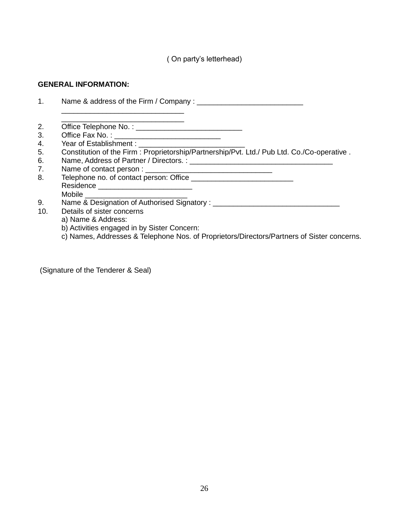# **GENERAL INFORMATION:**

| 2.  |                                                                                            |
|-----|--------------------------------------------------------------------------------------------|
| 3.  |                                                                                            |
| 4.  |                                                                                            |
| 5.  | Constitution of the Firm: Proprietorship/Partnership/Pvt. Ltd./ Pub Ltd. Co./Co-operative. |
| 6.  |                                                                                            |
| 7.  |                                                                                            |
| 8.  |                                                                                            |
|     |                                                                                            |
|     |                                                                                            |
| 9.  |                                                                                            |
| 10. | Details of sister concerns                                                                 |
|     | a) Name & Address:                                                                         |
|     | b) Activities engaged in by Sister Concern:                                                |
|     | c) Names, Addresses & Telephone Nos. of Proprietors/Directors/Partners of Sister concerns. |
|     |                                                                                            |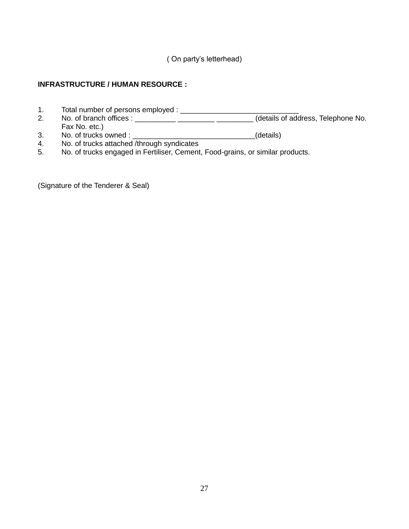# **INFRASTRUCTURE / HUMAN RESOURCE :**

- 1. Total number of persons employed : \_\_\_\_\_\_\_\_\_\_\_\_\_\_\_\_\_\_\_\_\_\_\_\_\_\_\_\_\_
- 2. No. of branch offices : \_\_\_\_\_\_\_\_\_\_ \_\_\_\_\_\_\_\_\_ \_\_\_\_\_\_\_\_\_ (details of address, Telephone No. Fax No. etc.)
- 3. No. of trucks owned : \_\_\_\_\_\_\_\_\_\_\_\_\_\_\_\_\_\_\_\_\_\_\_\_\_\_\_\_\_\_\_\_\_(details)
- 4. No. of trucks attached /through syndicates
- 5. No. of trucks engaged in Fertiliser, Cement, Food-grains, or similar products.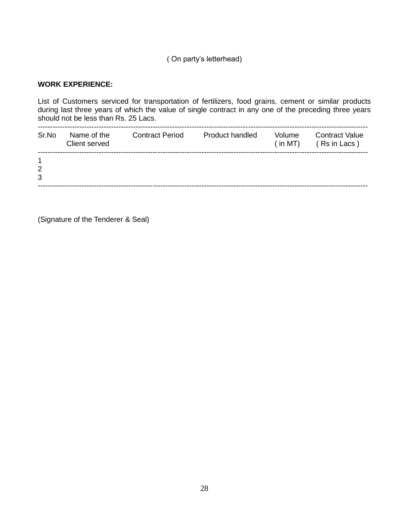### **WORK EXPERIENCE:**

List of Customers serviced for transportation of fertilizers, food grains, cement or similar products during last three years of which the value of single contract in any one of the preceding three years should not be less than Rs. 25 Lacs.

| Name of the<br>Client served | <b>Contract Period</b> | Product handled | Volume<br>(in MT) | <b>Contract Value</b><br>(Rs in Lacs) |  |
|------------------------------|------------------------|-----------------|-------------------|---------------------------------------|--|
|                              |                        |                 |                   |                                       |  |
|                              |                        |                 |                   |                                       |  |
|                              |                        |                 |                   |                                       |  |
|                              |                        |                 |                   |                                       |  |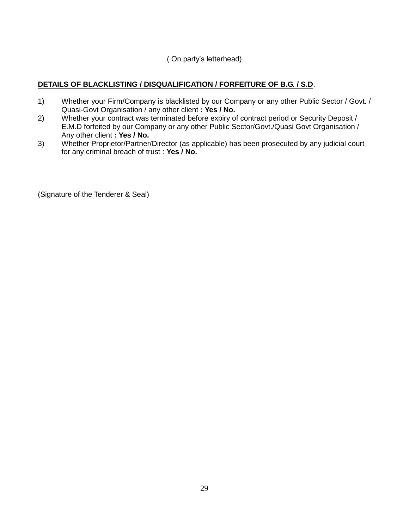# **DETAILS OF BLACKLISTING / DISQUALIFICATION / FORFEITURE OF B.G. / S.D**.

- 1) Whether your Firm/Company is blacklisted by our Company or any other Public Sector / Govt. / Quasi-Govt Organisation / any other client **: Yes / No.**
- 2) Whether your contract was terminated before expiry of contract period or Security Deposit / E.M.D forfeited by our Company or any other Public Sector/Govt./Quasi Govt Organisation / Any other client **: Yes / No.**
- 3) Whether Proprietor/Partner/Director (as applicable) has been prosecuted by any judicial court for any criminal breach of trust : **Yes / No.**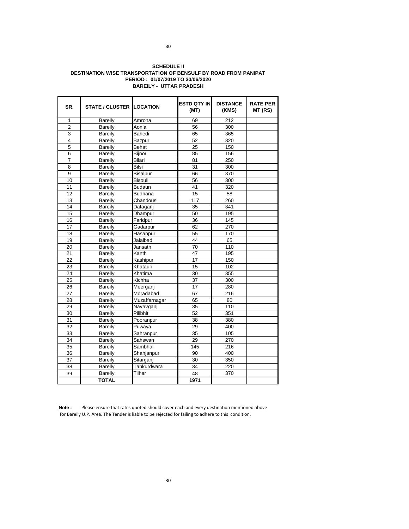#### **SCHEDULE II PERIOD : 01/07/2019 TO 30/06/2020 DESTINATION WISE TRANSPORTATION OF BENSULF BY ROAD FROM PANIPAT BAREILY - UTTAR PRADESH**

| SR.            | <b>STATE / CLUSTER LOCATION</b> |                 | <b>ESTD QTY IN</b><br>(MT) | <b>DISTANCE</b><br>(KMS) | <b>RATE PER</b><br>MT (RS) |
|----------------|---------------------------------|-----------------|----------------------------|--------------------------|----------------------------|
| $\mathbf{1}$   | <b>Bareily</b>                  | Amroha          | 69                         | 212                      |                            |
| $\overline{2}$ | Bareily                         | Aonla           | 56                         | 300                      |                            |
| 3              | Bareily                         | Bahedi          | 65                         | 365                      |                            |
| 4              | Bareily                         | Bazpur          | 52                         | 320                      |                            |
| $\overline{5}$ | Bareily                         | Behat           | 25                         | 150                      |                            |
| 6              | <b>Bareily</b>                  | <b>Biinor</b>   | 85                         | 156                      |                            |
| $\overline{7}$ | <b>Bareily</b>                  | Bilari          | 81                         | 250                      |                            |
| 8              | Bareily                         | <b>Bilsi</b>    | 31                         | 300                      |                            |
| 9              | Bareily                         | <b>Bisalpur</b> | 66                         | 370                      |                            |
| 10             | Bareily                         | <b>Bisouli</b>  | 56                         | 300                      |                            |
| 11             | Bareily                         | Budaun          | 41                         | 320                      |                            |
| 12             | <b>Bareily</b>                  | Budhana         | 15                         | 58                       |                            |
| 13             | Bareily                         | Chandousi       | 117                        | 260                      |                            |
| 14             | <b>Bareily</b>                  | Dataganj        | 35                         | 341                      |                            |
| 15             | <b>Bareily</b>                  | Dhampur         | 50                         | 195                      |                            |
| 16             | Bareily                         | Faridpur        | 36                         | 145                      |                            |
| 17             | <b>Bareily</b>                  | Gadarpur        | 62                         | 270                      |                            |
| 18             | <b>Bareily</b>                  | Hasanpur        | 55                         | 170                      |                            |
| 19             | <b>Bareily</b>                  | Jalalbad        | 44                         | 65                       |                            |
| 20             | <b>Bareily</b>                  | Jansath         | 70                         | 110                      |                            |
| 21             | Bareily                         | Kanth           | 47                         | 195                      |                            |
| 22             | Bareily                         | Kashipur        | 17                         | 150                      |                            |
| 23             | <b>Bareily</b>                  | Khatauli        | 15                         | 102                      |                            |
| 24             | <b>Bareily</b>                  | Khatima         | 30                         | 355                      |                            |
| 25             | Bareily                         | Kichha          | 37                         | 300                      |                            |
| 26             | <b>Bareily</b>                  | Meerganj        | 17                         | 280                      |                            |
| 27             | <b>Bareily</b>                  | Moradabad       | 67                         | 216                      |                            |
| 28             | <b>Bareily</b>                  | Muzaffarnagar   | 65                         | 80                       |                            |
| 29             | Bareily                         | Navavganj       | 35                         | 110                      |                            |
| 30             | Bareily                         | Pilibhit        | 52                         | 351                      |                            |
| 31             | <b>Bareily</b>                  | Pooranpur       | 38                         | 380                      |                            |
| 32             | Bareily                         | Puwaya          | 29                         | 400                      |                            |
| 33             | <b>Bareily</b>                  | Sahranpur       | 35                         | 105                      |                            |
| 34             | Bareily                         | Sahswan         | 29                         | 270                      |                            |
| 35             | <b>Bareily</b>                  | Sambhal         | 145                        | 216                      |                            |
| 36             | Bareily                         | Shahjanpur      | 90                         | 400                      |                            |
| 37             | Bareily                         | Sitarganj       | 30                         | 350                      |                            |
| 38             | Bareily                         | Tahkurdwara     | 34                         | 220                      |                            |
| 39             | Bareily                         | Tilhar          | 48                         | 370                      |                            |
|                | <b>TOTAL</b>                    |                 | 1971                       |                          |                            |

**Note :** Please ensure that rates quoted should cover each and every destination mentioned above for Bareily U.P. Area. The Tender is liable to be rejected for failing to adhere to this condition.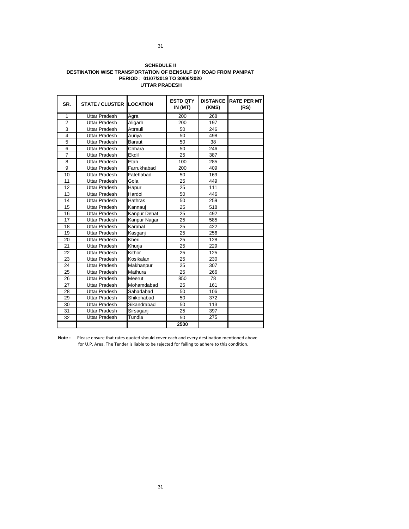#### **SCHEDULE II DESTINATION WISE TRANSPORTATION OF BENSULF BY ROAD FROM PANIPAT PERIOD : 01/07/2019 TO 30/06/2020 UTTAR PRADESH**

| SR.            | <b>STATE / CLUSTER I</b> | <b>LOCATION</b> | <b>ESTD QTY</b><br>IN (MT) | (KMS) | DISTANCE RATE PER MT<br>(RS) |
|----------------|--------------------------|-----------------|----------------------------|-------|------------------------------|
| $\mathbf{1}$   | Uttar Pradesh            | Agra            | 200                        | 268   |                              |
| $\overline{2}$ | Uttar Pradesh            | Aligarh         | 200                        | 197   |                              |
| 3              | Uttar Pradesh            | Attrauli        | 50                         | 246   |                              |
| 4              | <b>Uttar Pradesh</b>     | Auriya          | 50                         | 498   |                              |
| 5              | <b>Uttar Pradesh</b>     | <b>Baraut</b>   | 50                         | 38    |                              |
| 6              | Uttar Pradesh            | Chhara          | 50                         | 246   |                              |
| $\overline{7}$ | Uttar Pradesh            | Ekdil           | 25                         | 387   |                              |
| 8              | Uttar Pradesh            | Etah            | 100                        | 285   |                              |
| 9              | Uttar Pradesh            | Farrukhabad     | 200                        | 409   |                              |
| 10             | <b>Uttar Pradesh</b>     | Fatehabad       | 50                         | 169   |                              |
| 11             | <b>Uttar Pradesh</b>     | Gola            | 25                         | 449   |                              |
| 12             | Uttar Pradesh            | Hapur           | 25                         | 111   |                              |
| 13             | Uttar Pradesh            | Hardoi          | 50                         | 446   |                              |
| 14             | <b>Uttar Pradesh</b>     | Hathras         | 50                         | 259   |                              |
| 15             | <b>Uttar Pradesh</b>     | Kannaui         | 25                         | 518   |                              |
| 16             | Uttar Pradesh            | Kanpur Dehat    | 25                         | 492   |                              |
| 17             | Uttar Pradesh            | Kanpur Nagar    | 25                         | 585   |                              |
| 18             | <b>Uttar Pradesh</b>     | Karahal         | 25                         | 422   |                              |
| 19             | <b>Uttar Pradesh</b>     | Kasganj         | 25                         | 256   |                              |
| 20             | Uttar Pradesh            | Kheri           | 25                         | 128   |                              |
| 21             | <b>Uttar Pradesh</b>     | Khurja          | 25                         | 229   |                              |
| 22             | Uttar Pradesh            | Kithor          | 25                         | 125   |                              |
| 23             | <b>Uttar Pradesh</b>     | Kosikalan       | 25                         | 230   |                              |
| 24             | <b>Uttar Pradesh</b>     | Makhanpur       | 25                         | 307   |                              |
| 25             | Uttar Pradesh            | Mathura         | 25                         | 266   |                              |
| 26             | Uttar Pradesh            | Meerut          | 850                        | 78    |                              |
| 27             | Uttar Pradesh            | Mohamdabad      | 25                         | 161   |                              |
| 28             | Uttar Pradesh            | Sahadabad       | 50                         | 106   |                              |
| 29             | Uttar Pradesh            | Shikohabad      | 50                         | 372   |                              |
| 30             | Uttar Pradesh            | Sikandrabad     | 50                         | 113   |                              |
| 31             | Uttar Pradesh            | Sirsaganj       | 25                         | 397   |                              |
| 32             | Uttar Pradesh            | Tundla          | 50                         | 275   |                              |
|                |                          |                 | 2500                       |       |                              |

**Note :** Please ensure that rates quoted should cover each and every destination mentioned above for U.P. Area. The Tender is liable to be rejected for failing to adhere to this condition.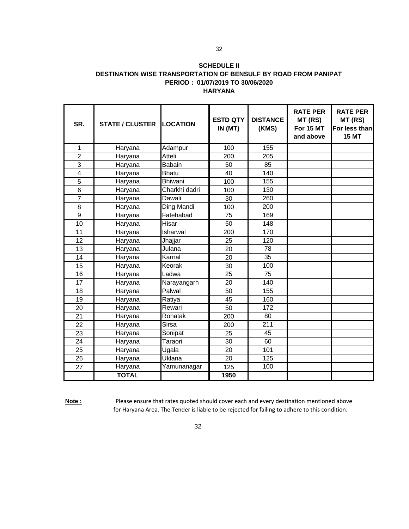#### **SCHEDULE II DESTINATION WISE TRANSPORTATION OF BENSULF BY ROAD FROM PANIPAT PERIOD : 01/07/2019 TO 30/06/2020 HARYANA**

| SR.            | <b>STATE / CLUSTER</b> | <b>LOCATION</b> | <b>ESTD QTY</b><br>IN (MT) | <b>DISTANCE</b><br>(KMS) | <b>RATE PER</b><br>MT (RS)<br>For 15 MT<br>and above | <b>RATE PER</b><br>MT (RS)<br>For less than<br><b>15 MT</b> |
|----------------|------------------------|-----------------|----------------------------|--------------------------|------------------------------------------------------|-------------------------------------------------------------|
| 1              | Haryana                | Adampur         | 100                        | 155                      |                                                      |                                                             |
| 2              | Haryana                | Atteli          | 200                        | 205                      |                                                      |                                                             |
| $\overline{3}$ | Haryana                | <b>Babain</b>   | 50                         | 85                       |                                                      |                                                             |
| 4              | Haryana                | <b>Bhatu</b>    | 40                         | 140                      |                                                      |                                                             |
| 5              | Haryana                | <b>Bhiwani</b>  | 100                        | 155                      |                                                      |                                                             |
| 6              | Haryana                | Charkhi dadri   | 100                        | 130                      |                                                      |                                                             |
| 7              | Haryana                | Dawali          | 30                         | 260                      |                                                      |                                                             |
| 8              | Haryana                | Ding Mandi      | 100                        | 200                      |                                                      |                                                             |
| 9              | Haryana                | Fatehabad       | 75                         | 169                      |                                                      |                                                             |
| 10             | Haryana                | Hisar           | 50                         | 148                      |                                                      |                                                             |
| 11             | Haryana                | Isharwal        | 200                        | 170                      |                                                      |                                                             |
| 12             | Haryana                | Jhajjar         | 25                         | 120                      |                                                      |                                                             |
| 13             | Haryana                | Julana          | 20                         | 78                       |                                                      |                                                             |
| 14             | Haryana                | Karnal          | 20                         | 35                       |                                                      |                                                             |
| 15             | Haryana                | Keorak          | 30                         | 100                      |                                                      |                                                             |
| 16             | Haryana                | Ladwa           | 25                         | 75                       |                                                      |                                                             |
| 17             | Haryana                | Narayangarh     | 20                         | 140                      |                                                      |                                                             |
| 18             | Haryana                | Palwal          | 50                         | 155                      |                                                      |                                                             |
| 19             | Haryana                | Ratiya          | 45                         | 160                      |                                                      |                                                             |
| 20             | Haryana                | Rewari          | 50                         | 172                      |                                                      |                                                             |
| 21             | Haryana                | Rohatak         | 200                        | 80                       |                                                      |                                                             |
| 22             | Haryana                | <b>Sirsa</b>    | 200                        | 211                      |                                                      |                                                             |
| 23             | Haryana                | Sonipat         | 25                         | 45                       |                                                      |                                                             |
| 24             | Haryana                | Taraori         | 30                         | 60                       |                                                      |                                                             |
| 25             | Haryana                | Ugala           | 20                         | 101                      |                                                      |                                                             |
| 26             | Haryana                | Uklana          | 20                         | 125                      |                                                      |                                                             |
| 27             | Haryana                | Yamunanagar     | 125                        | 100                      |                                                      |                                                             |
|                | <b>TOTAL</b>           |                 | 1950                       |                          |                                                      |                                                             |

**Note :** Please ensure that rates quoted should cover each and every destination mentioned above for Haryana Area. The Tender is liable to be rejected for failing to adhere to this condition.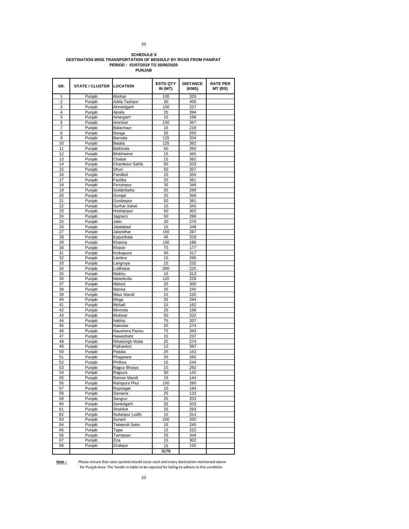# **SCHEDULE II DESTINATION WISE TRANSPORTATION OF BENSULF BY ROAD FROM PANIPAT PERIOD : 01/07/2019 TO 30/06/2020 PUNJAB**

| SR.            | STATE / CLUSTER LOCATION |                             | <b>ESTD QTY</b><br>IN (MT) | <b>DISTANCE</b><br>(KMS) | <b>RATE PER</b><br>MT (RS) |
|----------------|--------------------------|-----------------------------|----------------------------|--------------------------|----------------------------|
| 1              | Punjab                   | Abohar                      | 100                        | 329                      |                            |
| $\overline{2}$ | Punjab                   | Adda Tashpur                | 30                         | 400                      |                            |
| 3              | Punjab                   | Ahmedgarh                   | 100                        | 227                      |                            |
| 4              | Punjab                   | Ainala                      | 25                         | 394                      |                            |
| 5              | Punjab                   | Amargarh                    | 15                         | 196                      |                            |
| 6              | Punjab                   | Amritsar                    | 150                        | 367                      |                            |
| 7<br>8         | Punjab                   | Balachaur                   | 15                         | 219                      |                            |
| 9              | Punjab<br>Punjab         | Banga<br>Barnala            | 25<br>125                  | 250<br>334               |                            |
| 10             | Punjab                   | Batala                      | 125                        | 362                      |                            |
| 11             | Punjab                   | Bathinda                    | 50                         | 265                      |                            |
| 12             | Punjab                   | Bhikhiwind                  | 15                         | 365                      |                            |
| 13             | Punjab                   | Chabal                      | 15                         | 382                      |                            |
| 14             | Punjab                   | Chamkaur Sahib              | 50                         | 203                      |                            |
| 15             | Punjab                   | Dhuri                       | 50                         | 207                      |                            |
| 16             | Punjab                   | Faridkot                    | 25                         | 355                      |                            |
| 17             | Punjab                   | Fazilka                     | 25                         | 361                      |                            |
| 18             | Punjab                   | Ferozepur                   | 35                         | 348                      |                            |
| 19             | Punjab                   | Gidderbaha                  | 25                         | 299                      |                            |
| 20             | Punjab                   | Gumjal                      | 25                         | 358                      |                            |
| 21             | Punjab                   | Gurdaspur                   | 50                         | 381                      |                            |
| 22             | Punjab                   | Gurhar Sahai                | 15                         | 345                      |                            |
| 23             | Punjab                   | Hoshairpur                  | 50                         | 302                      |                            |
| 24             | Punjab                   | Jagraon                     | 50                         | 266                      |                            |
| 25             | Punjab                   | Jaito                       | 20                         | 276                      |                            |
| 26             | Punjab                   | Jalalabad                   | 15                         | 348                      |                            |
| 27             | Punjab                   | Jalandhar                   | 150                        | 287                      |                            |
| 28             | Punjab                   | Kapurthala                  | 45                         | 316                      |                            |
| 29<br>30       | Punjab                   | Khanna<br>Kharar            | 100<br>75                  | 186                      |                            |
| 31             | Punjab                   | Kotkapura                   | 40                         | 177<br>317               |                            |
| 32             | Punjab<br>Punjab         | Lambra                      | 15                         |                          |                            |
| 33             | Punjab                   | Langroya                    | 15                         | 295<br>232               |                            |
| 34             | Punjab                   | Ludhiana                    | 300                        | 225                      |                            |
| 35             | Punjab                   | Makhu                       | 15                         | 313                      |                            |
| 36             | Punjab                   | Malerkotla                  | 120                        | 228                      |                            |
| 37             | Punjab                   | Malout                      | 25                         | 300                      |                            |
| 38             | Punjab                   | Mansa                       | 25                         | 245                      |                            |
| 39             | Punjab                   | Maur Mandi                  | 15                         | 225                      |                            |
| 40             | Punjab                   | Moga                        | 25                         | 294                      |                            |
| 41             | Punjab                   | Mohali                      | 15                         | 162                      |                            |
| 42             | Punjab                   | Morinda                     | 25                         | 198                      |                            |
| 43             | Punjab                   | Muktsar                     | 50                         | 332                      |                            |
| 44             | Punjab                   | Nabha                       | 75                         | 207                      |                            |
| 45             | Punjab                   | Nakodar                     | 25                         | 274                      |                            |
| 46             | Punjab                   | Naushera Pannu              | 75                         | 343                      |                            |
| 47             | Punjab                   | Nawashahr                   | 15                         | 237                      |                            |
| 48             | Punjab                   | Nihalsingh Wala             | 25                         | 274                      |                            |
| 49             | Punjab                   | Pathankot                   | 15                         | 397                      |                            |
| 50             | Punjab                   | Patiala                     | 25                         | 153                      |                            |
| 51             | Punjab                   | Phagwara                    | 25                         | 265                      |                            |
| 52             | Punjab                   | Phillour                    | 15                         | 244                      |                            |
| 53             | Punjab                   | Rajpur Bhaiya               | 15                         | 292                      |                            |
| 54             | Punjab                   | Rajpura                     | 50                         | 142                      |                            |
| 55<br>56       | Punjan                   | Raman Mandi<br>Rampura Phul | 15<br>100                  | 144<br>260               |                            |
| 57             | Punjab<br>Punjab         | Rupnagar                    | 15                         | 194                      |                            |
| 58             | Punjab                   | Samana                      | 25                         | 133                      |                            |
| 59             | Punjab                   | Sangrur                     | 25                         | 203                      |                            |
| 60             | Punjab                   | Sardulgarh                  | 25                         | 203                      |                            |
| 61             | Punjab                   | Shahkot                     | 25                         | 293                      |                            |
| 62             | Punjab                   | Sultanpur Lodhi             | 15                         | 314                      |                            |
| 63             | Punjab                   | Sunam                       | 200                        | 200                      |                            |
| 64             | Punjab                   | Talwandi Sabo               | 15                         | 245                      |                            |
| 65             | Punjab                   | Tapa                        | 15                         | 222                      |                            |
| 66             | Punjab                   | Tarntaran                   | 25                         | 349                      |                            |
| 67             | Punjab                   | Zira                        | 15                         | 302                      |                            |
| 68             | Punjab                   | Zirakpur                    | 15                         | 150                      |                            |
|                |                          |                             | 3170                       |                          |                            |

**Note :** Please ensure that rates quoted should cover each and every destination mentioned above<br>for Punjab Area. The Tender is liable to be rejected for failing to adhere to this condition.